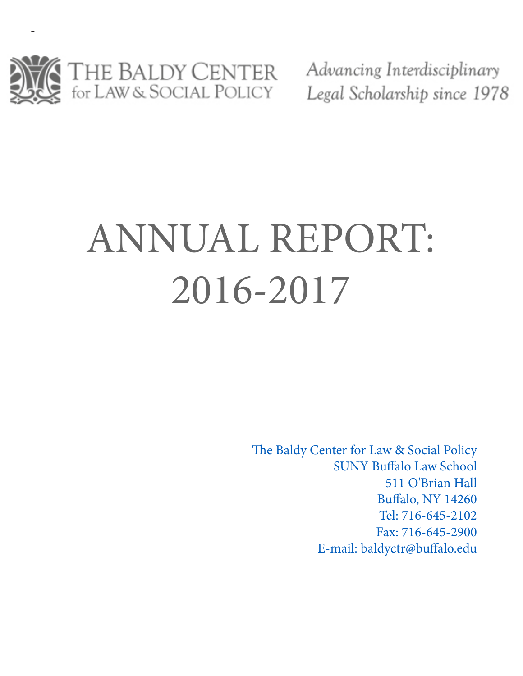

Advancing Interdisciplinary Legal Scholarship since 1978

# ANNUAL REPORT: 2016-2017

The Baldy Center for Law & Social Policy SUNY Buffalo Law School 511 O'Brian Hall Buffalo, NY 14260 Tel: 716-645-2102 Fax: 716-645-2900 E-mail: baldyctr@buffalo.edu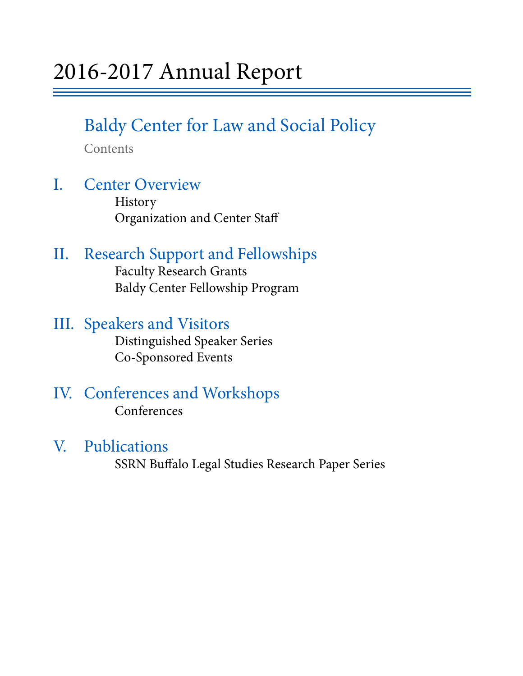# Baldy Center for Law and Social Policy

Contents

# I. Center Overview History

Organization and Center Staff

# II. Research Support and Fellowships Faculty Research Grants

Baldy Center Fellowship Program

# III. Speakers and Visitors<br>Distinguished Speaker Series

Co-Sponsored Events

# IV. Conferences and Workshops Conferences

V. Publications SSRN Buffalo Legal Studies Research Paper Series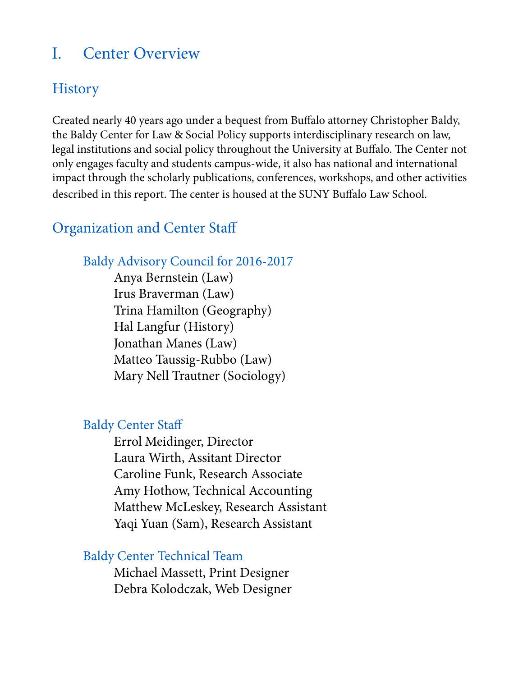## I. Center Overview

# **History**

Created nearly 40 years ago under a bequest from Buffalo attorney Christopher Baldy, the Baldy Center for Law & Social Policy supports interdisciplinary research on law, legal institutions and social policy throughout the University at Buffalo. The Center not only engages faculty and students campus-wide, it also has national and international impact through the scholarly publications, conferences, workshops, and other activities described in this report. The center is housed at the SUNY Buffalo Law School.

## Organization and Center Staff

## Baldy Advisory Council for 2016-2017

 Anya Bernstein (Law) Irus Braverman (Law) Trina Hamilton (Geography) Hal Langfur (History) Jonathan Manes (Law) Matteo Taussig-Rubbo (Law) Mary Nell Trautner (Sociology)

## Baldy Center Staff

 Errol Meidinger, Director Laura Wirth, Assitant Director Caroline Funk, Research Associate Amy Hothow, Technical Accounting Matthew McLeskey, Research Assistant Yaqi Yuan (Sam), Research Assistant

## Baldy Center Technical Team

 Michael Massett, Print Designer Debra Kolodczak, Web Designer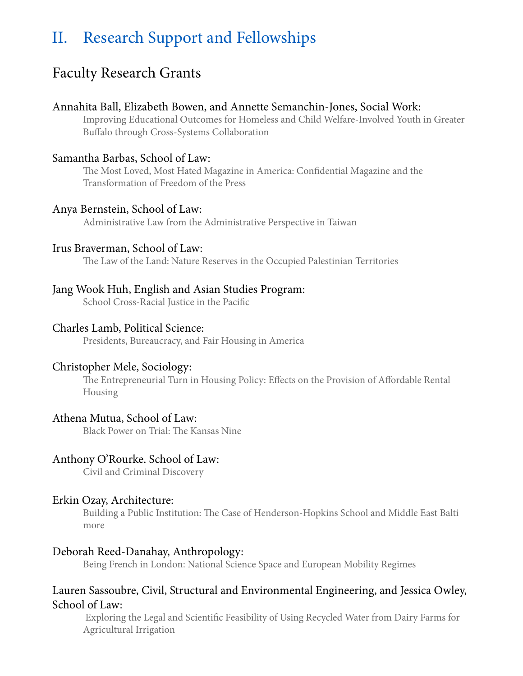# II. Research Support and Fellowships

## Faculty Research Grants

#### Annahita Ball, Elizabeth Bowen, and Annette Semanchin-Jones, Social Work:

Improving Educational Outcomes for Homeless and Child Welfare-Involved Youth in Greater Buffalo through Cross-Systems Collaboration

#### Samantha Barbas, School of Law:

The Most Loved, Most Hated Magazine in America: Confidential Magazine and the Transformation of Freedom of the Press

#### Anya Bernstein, School of Law:

Administrative Law from the Administrative Perspective in Taiwan

#### Irus Braverman, School of Law:

The Law of the Land: Nature Reserves in the Occupied Palestinian Territories

#### Jang Wook Huh, English and Asian Studies Program:

School Cross-Racial Justice in the Pacific

#### Charles Lamb, Political Science:

Presidents, Bureaucracy, and Fair Housing in America

#### Christopher Mele, Sociology:

The Entrepreneurial Turn in Housing Policy: Effects on the Provision of Affordable Rental Housing

#### Athena Mutua, School of Law:

Black Power on Trial: The Kansas Nine

#### Anthony O'Rourke. School of Law:

Civil and Criminal Discovery

#### Erkin Ozay, Architecture:

Building a Public Institution: The Case of Henderson-Hopkins School and Middle East Balti more

#### Deborah Reed-Danahay, Anthropology:

Being French in London: National Science Space and European Mobility Regimes

#### Lauren Sassoubre, Civil, Structural and Environmental Engineering, and Jessica Owley, School of Law:

 Exploring the Legal and Scientific Feasibility of Using Recycled Water from Dairy Farms for Agricultural Irrigation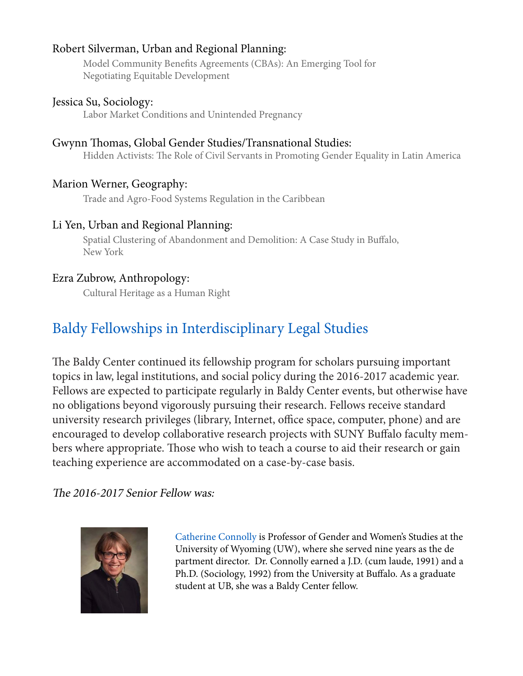### Robert Silverman, Urban and Regional Planning:

Model Community Benefits Agreements (CBAs): An Emerging Tool for Negotiating Equitable Development

### Jessica Su, Sociology:

Labor Market Conditions and Unintended Pregnancy

## Gwynn Thomas, Global Gender Studies/Transnational Studies:

Hidden Activists: The Role of Civil Servants in Promoting Gender Equality in Latin America

## Marion Werner, Geography:

Trade and Agro-Food Systems Regulation in the Caribbean

## Li Yen, Urban and Regional Planning:

Spatial Clustering of Abandonment and Demolition: A Case Study in Buffalo, New York

## Ezra Zubrow, Anthropology:

Cultural Heritage as a Human Right

# Baldy Fellowships in Interdisciplinary Legal Studies

The Baldy Center continued its fellowship program for scholars pursuing important topics in law, legal institutions, and social policy during the 2016-2017 academic year. Fellows are expected to participate regularly in Baldy Center events, but otherwise have no obligations beyond vigorously pursuing their research. Fellows receive standard university research privileges (library, Internet, office space, computer, phone) and are encouraged to develop collaborative research projects with SUNY Buffalo faculty members where appropriate. Those who wish to teach a course to aid their research or gain teaching experience are accommodated on a case-by-case basis.

## The 2016-2017 Senior Fellow was:



 Catherine Connolly is Professor of Gender and Women's Studies at the University of Wyoming (UW), where she served nine years as the de partment director. Dr. Connolly earned a J.D. (cum laude, 1991) and a Ph.D. (Sociology, 1992) from the University at Buffalo. As a graduate student at UB, she was a Baldy Center fellow.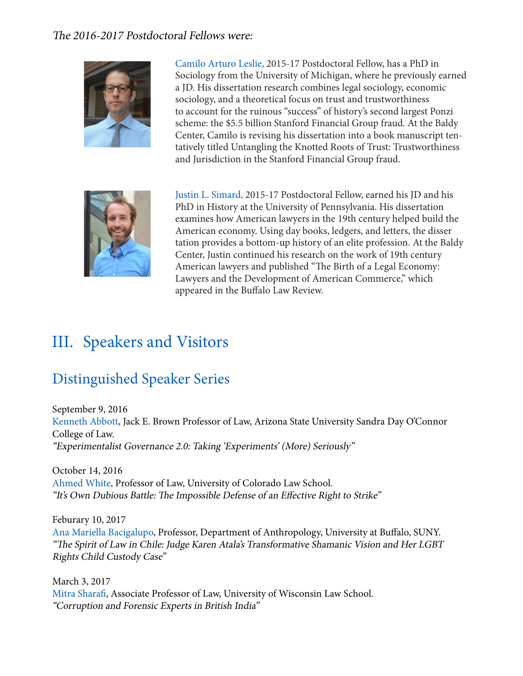### The 2016-2017 Postdoctoral Fellows were:



 Camilo Arturo Leslie, 2015-17 Postdoctoral Fellow, has a PhD in Sociology from the University of Michigan, where he previously earned a JD. His dissertation research combines legal sociology, economic sociology, and a theoretical focus on trust and trustworthiness to account for the ruinous "success" of history's second largest Ponzi scheme: the \$5.5 billion Stanford Financial Group fraud. At the Baldy Center, Camilo is revising his dissertation into a book manuscript ten tatively titled Untangling the Knotted Roots of Trust: Trustworthiness and Jurisdiction in the Stanford Financial Group fraud.



 Justin L. Simard, 2015-17 Postdoctoral Fellow, earned his JD and his PhD in History at the University of Pennsylvania. His dissertation examines how American lawyers in the 19th century helped build the American economy. Using day books, ledgers, and letters, the disser tation provides a bottom-up history of an elite profession. At the Baldy Center, Justin continued his research on the work of 19th century American lawyers and published "The Birth of a Legal Economy: Lawyers and the Development of American Commerce," which appeared in the Buffalo Law Review.

# III. Speakers and Visitors

# Distinguished Speaker Series

September 9, 2016 Kenneth Abbott, Jack E. Brown Professor of Law, Arizona State University Sandra Day O'Connor College of Law. "Experimentalist Governance 2.0: Taking 'Experiments' (More) Seriously"

October 14, 2016 Ahmed White, Professor of Law, University of Colorado Law School. "It's Own Dubious Battle: The Impossible Defense of an Effective Right to Strike"

Feburary 10, 2017 Ana Mariella Bacigalupo, Professor, Department of Anthropology, University at Buffalo, SUNY. "The Spirit of Law in Chile: Judge Karen Atala's Transformative Shamanic Vision and Her LGBT Rights Child Custody Case"

March 3, 2017 Mitra Sharafi, Associate Professor of Law, University of Wisconsin Law School. "Corruption and Forensic Experts in British India"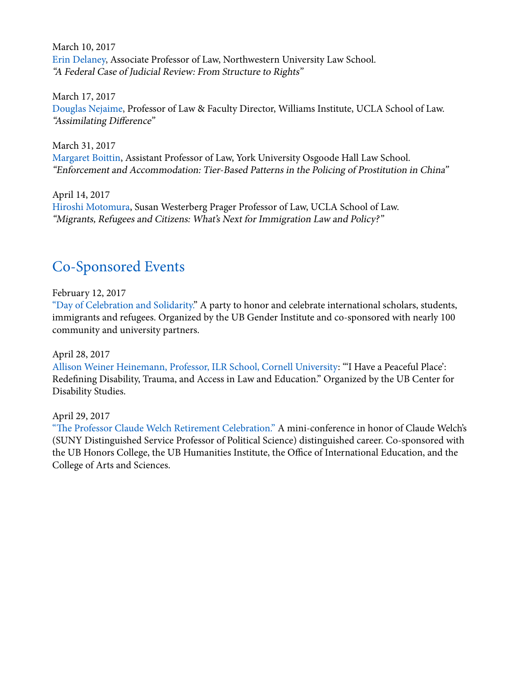March 10, 2017 Erin Delaney, Associate Professor of Law, Northwestern University Law School. "A Federal Case of Judicial Review: From Structure to Rights"

March 17, 2017 Douglas Nejaime, Professor of Law & Faculty Director, Williams Institute, UCLA School of Law. "Assimilating Difference"

March 31, 2017 Margaret Boittin, Assistant Professor of Law, York University Osgoode Hall Law School. "Enforcement and Accommodation: Tier-Based Patterns in the Policing of Prostitution in China"

April 14, 2017 Hiroshi Motomura, Susan Westerberg Prager Professor of Law, UCLA School of Law. "Migrants, Refugees and Citizens: What's Next for Immigration Law and Policy?"

## Co-Sponsored Events

February 12, 2017

"Day of Celebration and Solidarity." A party to honor and celebrate international scholars, students, immigrants and refugees. Organized by the UB Gender Institute and co-sponsored with nearly 100 community and university partners.

April 28, 2017

Allison Weiner Heinemann, Professor, ILR School, Cornell University: "'I Have a Peaceful Place': Redefining Disability, Trauma, and Access in Law and Education." Organized by the UB Center for Disability Studies.

April 29, 2017

"The Professor Claude Welch Retirement Celebration." A mini-conference in honor of Claude Welch's (SUNY Distinguished Service Professor of Political Science) distinguished career. Co-sponsored with the UB Honors College, the UB Humanities Institute, the Office of International Education, and the College of Arts and Sciences.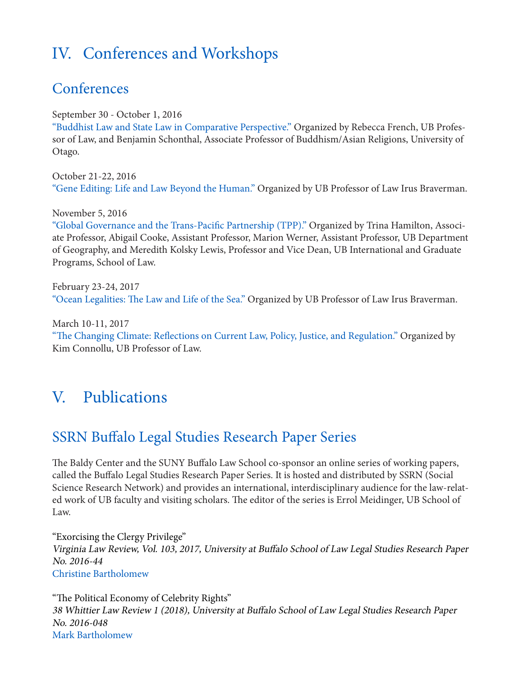# IV. Conferences and Workshops

## **Conferences**

September 30 - October 1, 2016

"Buddhist Law and State Law in Comparative Perspective." Organized by Rebecca French, UB Professor of Law, and Benjamin Schonthal, Associate Professor of Buddhism/Asian Religions, University of Otago.

October 21-22, 2016 "Gene Editing: Life and Law Beyond the Human." Organized by UB Professor of Law Irus Braverman.

November 5, 2016

"Global Governance and the Trans-Pacific Partnership (TPP)." Organized by Trina Hamilton, Associate Professor, Abigail Cooke, Assistant Professor, Marion Werner, Assistant Professor, UB Department of Geography, and Meredith Kolsky Lewis, Professor and Vice Dean, UB International and Graduate Programs, School of Law.

February 23-24, 2017 "Ocean Legalities: The Law and Life of the Sea." Organized by UB Professor of Law Irus Braverman.

March 10-11, 2017 "The Changing Climate: Reflections on Current Law, Policy, Justice, and Regulation." Organized by Kim Connollu, UB Professor of Law.

# V. Publications

## SSRN Buffalo Legal Studies Research Paper Series

The Baldy Center and the SUNY Buffalo Law School co-sponsor an online series of working papers, called the Buffalo Legal Studies Research Paper Series. It is hosted and distributed by SSRN (Social Science Research Network) and provides an international, interdisciplinary audience for the law-related work of UB faculty and visiting scholars. The editor of the series is Errol Meidinger, UB School of Law.

"Exorcising the Clergy Privilege" Virginia Law Review, Vol. 103, 2017, University at Buffalo School of Law Legal Studies Research Paper No. 2016-44 Christine Bartholomew

"The Political Economy of Celebrity Rights" 38 Whittier Law Review 1 (2018), University at Buffalo School of Law Legal Studies Research Paper No. 2016-048 Mark Bartholomew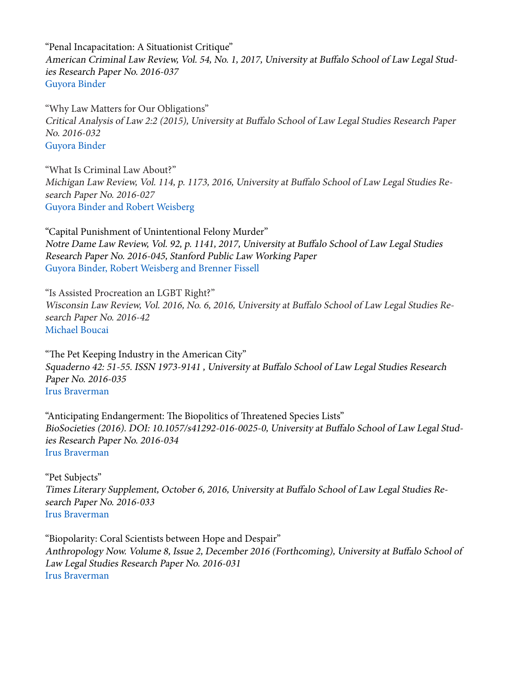"Penal Incapacitation: A Situationist Critique" American Criminal Law Review, Vol. 54, No. 1, 2017, University at Buffalo School of Law Legal Studies Research Paper No. 2016-037 Guyora Binder

"Why Law Matters for Our Obligations" Critical Analysis of Law 2:2 (2015), University at Buffalo School of Law Legal Studies Research Paper No. 2016-032 Guyora Binder

"What Is Criminal Law About?" Michigan Law Review, Vol. 114, p. 1173, 2016, University at Buffalo School of Law Legal Studies Research Paper No. 2016-027 Guyora Binder and Robert Weisberg

"Capital Punishment of Unintentional Felony Murder" Notre Dame Law Review, Vol. 92, p. 1141, 2017, University at Buffalo School of Law Legal Studies Research Paper No. 2016-045, Stanford Public Law Working Paper Guyora Binder, Robert Weisberg and Brenner Fissell

"Is Assisted Procreation an LGBT Right?" Wisconsin Law Review, Vol. 2016, No. 6, 2016, University at Buffalo School of Law Legal Studies Research Paper No. 2016-42 Michael Boucai

"The Pet Keeping Industry in the American City" Squaderno 42: 51-55. ISSN 1973-9141 , University at Buffalo School of Law Legal Studies Research Paper No. 2016-035 Irus Braverman

"Anticipating Endangerment: The Biopolitics of Threatened Species Lists" BioSocieties (2016). DOI: 10.1057/s41292-016-0025-0, University at Buffalo School of Law Legal Studies Research Paper No. 2016-034 Irus Braverman

"Pet Subjects" Times Literary Supplement, October 6, 2016, University at Buffalo School of Law Legal Studies Research Paper No. 2016-033 Irus Braverman

"Biopolarity: Coral Scientists between Hope and Despair" Anthropology Now. Volume 8, Issue 2, December 2016 (Forthcoming), University at Buffalo School of Law Legal Studies Research Paper No. 2016-031 Irus Braverman